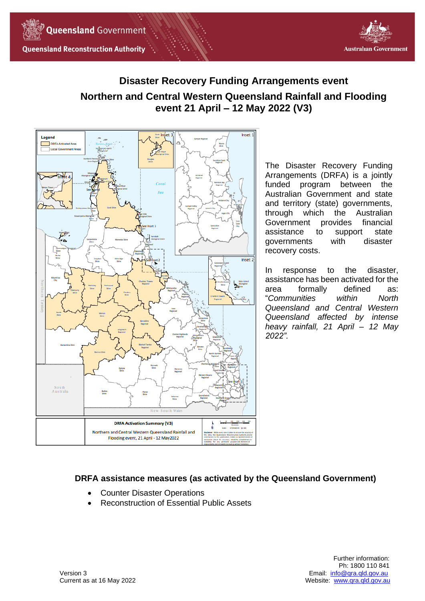



# **Disaster Recovery Funding Arrangements event Northern and Central Western Queensland Rainfall and Flooding event 21 April – 12 May 2022 (V3)**



The Disaster Recovery Funding Arrangements (DRFA) is a jointly funded program between the Australian Government and state and territory (state) governments, through which the Australian Government provides financial assistance to support state governments with disaster recovery costs.

In response to the disaster, assistance has been activated for the area formally defined as: "*Communities within North Queensland and Central Western Queensland affected by intense heavy rainfall, 21 April – 12 May 2022".*

# **DRFA assistance measures (as activated by the Queensland Government)**

- Counter Disaster Operations
- Reconstruction of Essential Public Assets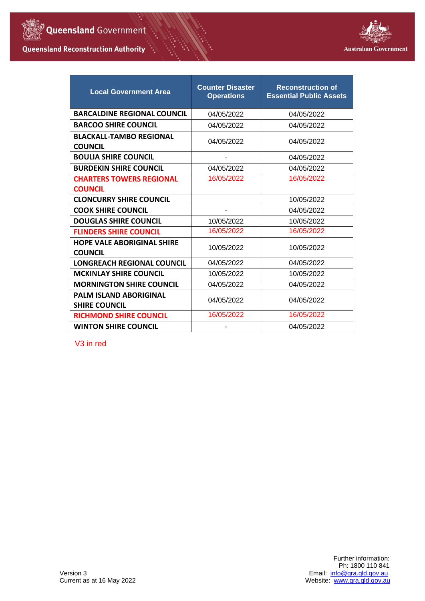

## **Queensland Reconstruction Authority**

۰.



| <b>Local Government Area</b>                          | <b>Counter Disaster</b><br><b>Operations</b> | <b>Reconstruction of</b><br><b>Essential Public Assets</b> |
|-------------------------------------------------------|----------------------------------------------|------------------------------------------------------------|
| <b>BARCALDINE REGIONAL COUNCIL</b>                    | 04/05/2022                                   | 04/05/2022                                                 |
| <b>BARCOO SHIRE COUNCIL</b>                           | 04/05/2022                                   | 04/05/2022                                                 |
| <b>BLACKALL-TAMBO REGIONAL</b><br><b>COUNCIL</b>      | 04/05/2022                                   | 04/05/2022                                                 |
| <b>BOULIA SHIRE COUNCIL</b>                           |                                              | 04/05/2022                                                 |
| <b>BURDEKIN SHIRE COUNCIL</b>                         | 04/05/2022                                   | 04/05/2022                                                 |
| <b>CHARTERS TOWERS REGIONAL</b>                       | 16/05/2022                                   | 16/05/2022                                                 |
| <b>COUNCIL</b>                                        |                                              |                                                            |
| <b>CLONCURRY SHIRE COUNCIL</b>                        |                                              | 10/05/2022                                                 |
| <b>COOK SHIRE COUNCIL</b>                             |                                              | 04/05/2022                                                 |
| <b>DOUGLAS SHIRE COUNCIL</b>                          | 10/05/2022                                   | 10/05/2022                                                 |
| <b>FLINDERS SHIRE COUNCIL</b>                         | 16/05/2022                                   | 16/05/2022                                                 |
| <b>HOPE VALE ABORIGINAL SHIRE</b><br><b>COUNCIL</b>   | 10/05/2022                                   | 10/05/2022                                                 |
| <b>LONGREACH REGIONAL COUNCIL</b>                     | 04/05/2022                                   | 04/05/2022                                                 |
| <b>MCKINLAY SHIRE COUNCIL</b>                         | 10/05/2022                                   | 10/05/2022                                                 |
| <b>MORNINGTON SHIRE COUNCIL</b>                       | 04/05/2022                                   | 04/05/2022                                                 |
| <b>PALM ISLAND ABORIGINAL</b><br><b>SHIRE COUNCIL</b> | 04/05/2022                                   | 04/05/2022                                                 |
| <b>RICHMOND SHIRE COUNCIL</b>                         | 16/05/2022                                   | 16/05/2022                                                 |
| <b>WINTON SHIRE COUNCIL</b>                           |                                              | 04/05/2022                                                 |

V3 in red